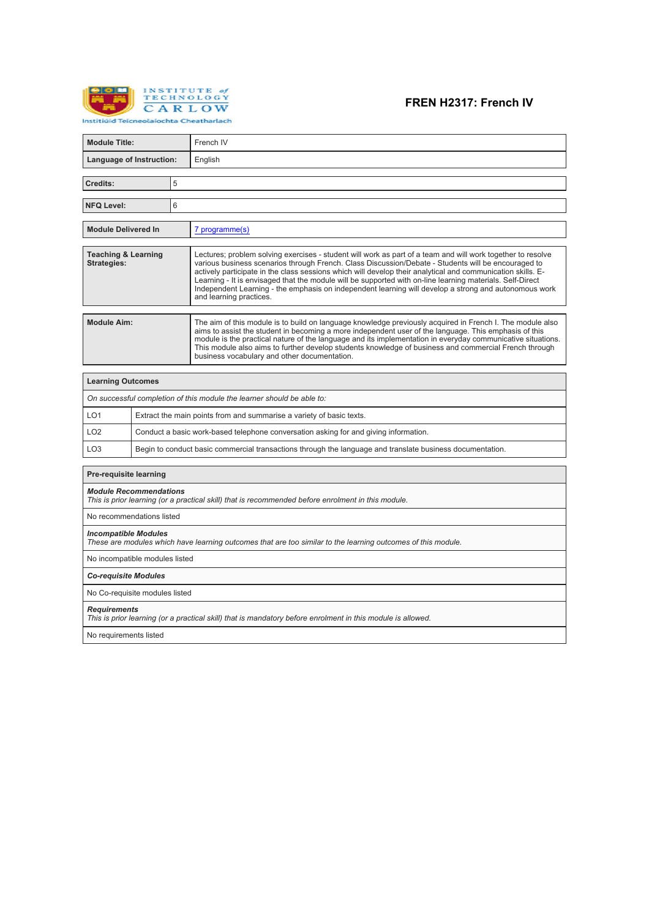

# **FREN H2317: French IV**

| <b>Module Title:</b>                                                                                                                        |                                                                                      |  | French IV                                                                                                                                                                                                                                                                                                                                                                                                                                                                                                                                                                          |  |  |  |
|---------------------------------------------------------------------------------------------------------------------------------------------|--------------------------------------------------------------------------------------|--|------------------------------------------------------------------------------------------------------------------------------------------------------------------------------------------------------------------------------------------------------------------------------------------------------------------------------------------------------------------------------------------------------------------------------------------------------------------------------------------------------------------------------------------------------------------------------------|--|--|--|
| Language of Instruction:                                                                                                                    |                                                                                      |  | English                                                                                                                                                                                                                                                                                                                                                                                                                                                                                                                                                                            |  |  |  |
|                                                                                                                                             |                                                                                      |  |                                                                                                                                                                                                                                                                                                                                                                                                                                                                                                                                                                                    |  |  |  |
| 5<br>Credits:                                                                                                                               |                                                                                      |  |                                                                                                                                                                                                                                                                                                                                                                                                                                                                                                                                                                                    |  |  |  |
| 6<br><b>NFQ Level:</b>                                                                                                                      |                                                                                      |  |                                                                                                                                                                                                                                                                                                                                                                                                                                                                                                                                                                                    |  |  |  |
| <b>Module Delivered In</b>                                                                                                                  |                                                                                      |  | 7 programme(s)                                                                                                                                                                                                                                                                                                                                                                                                                                                                                                                                                                     |  |  |  |
| <b>Teaching &amp; Learning</b><br><b>Strategies:</b>                                                                                        |                                                                                      |  | Lectures; problem solving exercises - student will work as part of a team and will work together to resolve<br>various business scenarios through French. Class Discussion/Debate - Students will be encouraged to<br>actively participate in the class sessions which will develop their analytical and communication skills. E-<br>Learning - It is envisaged that the module will be supported with on-line learning materials. Self-Direct<br>Independent Learning - the emphasis on independent learning will develop a strong and autonomous work<br>and learning practices. |  |  |  |
| <b>Module Aim:</b>                                                                                                                          |                                                                                      |  | The aim of this module is to build on language knowledge previously acquired in French I. The module also<br>aims to assist the student in becoming a more independent user of the language. This emphasis of this<br>module is the practical nature of the language and its implementation in everyday communicative situations.<br>This module also aims to further develop students knowledge of business and commercial French through<br>business vocabulary and other documentation.                                                                                         |  |  |  |
| <b>Learning Outcomes</b>                                                                                                                    |                                                                                      |  |                                                                                                                                                                                                                                                                                                                                                                                                                                                                                                                                                                                    |  |  |  |
|                                                                                                                                             |                                                                                      |  | On successful completion of this module the learner should be able to:                                                                                                                                                                                                                                                                                                                                                                                                                                                                                                             |  |  |  |
| LO <sub>1</sub>                                                                                                                             |                                                                                      |  | Extract the main points from and summarise a variety of basic texts.                                                                                                                                                                                                                                                                                                                                                                                                                                                                                                               |  |  |  |
| LO <sub>2</sub>                                                                                                                             | Conduct a basic work-based telephone conversation asking for and giving information. |  |                                                                                                                                                                                                                                                                                                                                                                                                                                                                                                                                                                                    |  |  |  |
| LO <sub>3</sub>                                                                                                                             |                                                                                      |  | Begin to conduct basic commercial transactions through the language and translate business documentation.                                                                                                                                                                                                                                                                                                                                                                                                                                                                          |  |  |  |
| <b>Pre-requisite learning</b>                                                                                                               |                                                                                      |  |                                                                                                                                                                                                                                                                                                                                                                                                                                                                                                                                                                                    |  |  |  |
| <b>Module Recommendations</b><br>This is prior learning (or a practical skill) that is recommended before enrolment in this module.         |                                                                                      |  |                                                                                                                                                                                                                                                                                                                                                                                                                                                                                                                                                                                    |  |  |  |
| No recommendations listed                                                                                                                   |                                                                                      |  |                                                                                                                                                                                                                                                                                                                                                                                                                                                                                                                                                                                    |  |  |  |
| <b>Incompatible Modules</b><br>These are modules which have learning outcomes that are too similar to the learning outcomes of this module. |                                                                                      |  |                                                                                                                                                                                                                                                                                                                                                                                                                                                                                                                                                                                    |  |  |  |
| No incompatible modules listed                                                                                                              |                                                                                      |  |                                                                                                                                                                                                                                                                                                                                                                                                                                                                                                                                                                                    |  |  |  |
| <b>Co-requisite Modules</b>                                                                                                                 |                                                                                      |  |                                                                                                                                                                                                                                                                                                                                                                                                                                                                                                                                                                                    |  |  |  |
| No Co-requisite modules listed                                                                                                              |                                                                                      |  |                                                                                                                                                                                                                                                                                                                                                                                                                                                                                                                                                                                    |  |  |  |
| <b>Requirements</b><br>This is prior learning (or a practical skill) that is mandatory before enrolment in this module is allowed.          |                                                                                      |  |                                                                                                                                                                                                                                                                                                                                                                                                                                                                                                                                                                                    |  |  |  |
| No requirements listed                                                                                                                      |                                                                                      |  |                                                                                                                                                                                                                                                                                                                                                                                                                                                                                                                                                                                    |  |  |  |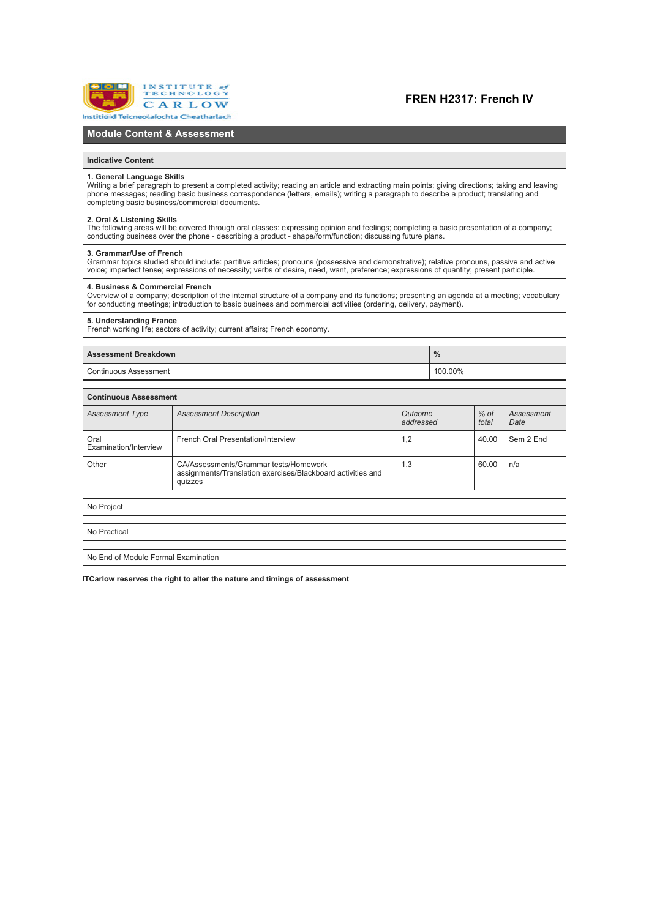

### **FREN H2317: French IV**

### **Module Content & Assessment**

#### **Indicative Content**

#### **1. General Language Skills**

Writing a brief paragraph to present a completed activity; reading an article and extracting main points; giving directions; taking and leaving phone messages; reading basic business correspondence (letters, emails); writing a paragraph to describe a product; translating and<br>completing basic business/commercial documents.

### **2. Oral & Listening Skills**

The following areas will be covered through oral classes: expressing opinion and feelings; completing a basic presentation of a company;<br>conducting business over the phone - describing a product - shape/form/function: disc

#### **3. Grammar/Use of French**

Grammar topics studied should include: partitive articles; pronouns (possessive and demonstrative); relative pronouns, passive and active (Grammar) or pronouns, passive and active (Grammar) and active (Grammar) and the sta

#### **4. Business & Commercial French**

Overview of a company; description of the internal structure of a company and its functions; presenting an agenda at a meeting; vocabulary<br>for conducting meetings: introduction to basic business and commercial activities (

#### **5. Understanding France**

French working life; sectors of activity; current affairs; French economy.

### **Assessment Breakdown %**

Continuous Assessment 100.00%

| <b>Continuous Assessment</b>  |                                                                                                                 |     |                 |                    |  |  |  |
|-------------------------------|-----------------------------------------------------------------------------------------------------------------|-----|-----------------|--------------------|--|--|--|
| <b>Assessment Type</b>        | <b>Assessment Description</b><br>Outcome<br>addressed                                                           |     | $%$ of<br>total | Assessment<br>Date |  |  |  |
| Oral<br>Examination/Interview | French Oral Presentation/Interview                                                                              | 1,2 | 40.00           | Sem 2 End          |  |  |  |
| Other                         | CA/Assessments/Grammar tests/Homework<br>assignments/Translation exercises/Blackboard activities and<br>quizzes | 1,3 | 60.00           | n/a                |  |  |  |
|                               |                                                                                                                 |     |                 |                    |  |  |  |
| No Project                    |                                                                                                                 |     |                 |                    |  |  |  |

No Practical

No End of Module Formal Examination

**ITCarlow reserves the right to alter the nature and timings of assessment**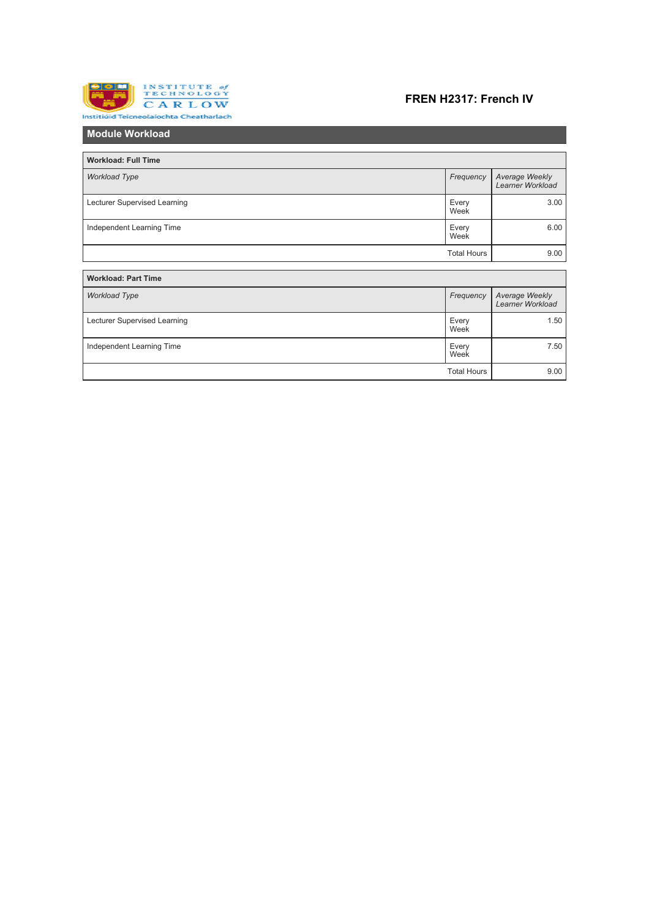

# **FREN H2317: French IV**

| <b>Module Workload</b>       |                    |                                           |
|------------------------------|--------------------|-------------------------------------------|
|                              |                    |                                           |
| <b>Workload: Full Time</b>   |                    |                                           |
| <b>Workload Type</b>         | Frequency          | Average Weekly<br>Learner Workload        |
| Lecturer Supervised Learning | Every<br>Week      | 3.00                                      |
| Independent Learning Time    | Every<br>Week      | 6.00                                      |
|                              | <b>Total Hours</b> | 9.00                                      |
|                              |                    |                                           |
| <b>Workload: Part Time</b>   |                    |                                           |
| <b>Workload Type</b>         | Frequency          | Average Weekly<br><b>Learner Workload</b> |
| Lecturer Supervised Learning | Every<br>Week      | 1.50                                      |
| Independent Learning Time    | Every<br>Week      | 7.50                                      |
|                              | <b>Total Hours</b> | 9.00                                      |